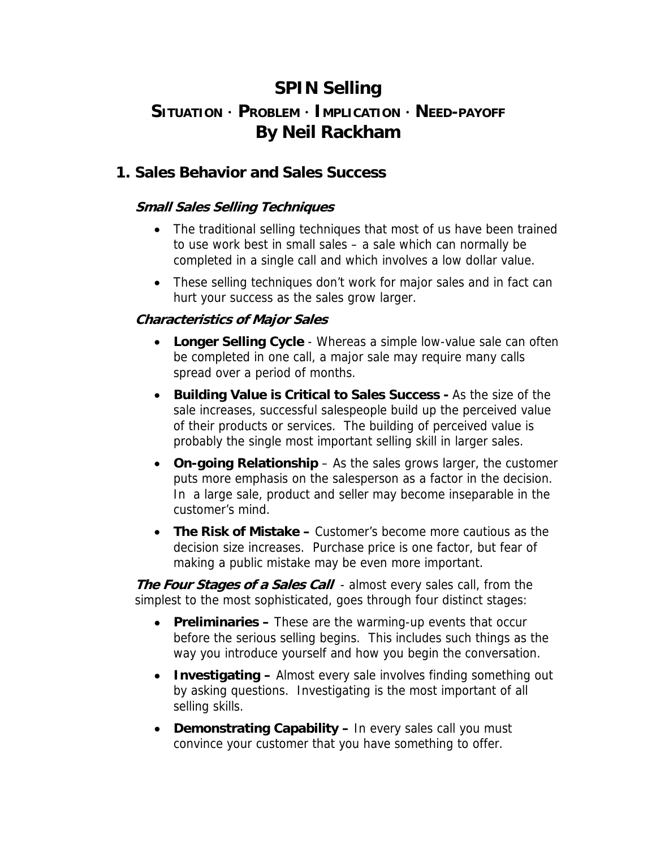# **SPIN Selling**

# **SITUATION** ⋅ **PROBLEM** ⋅ **IMPLICATION** ⋅ **NEED-PAYOFF By Neil Rackham**

## **1. Sales Behavior and Sales Success**

### **Small Sales Selling Techniques**

- The traditional selling techniques that most of us have been trained to use work best in small sales – a sale which can normally be completed in a single call and which involves a low dollar value.
- These selling techniques don't work for major sales and in fact can hurt your success as the sales grow larger.

### **Characteristics of Major Sales**

- **Longer Selling Cycle** Whereas a simple low-value sale can often be completed in one call, a major sale may require many calls spread over a period of months.
- **Building Value is Critical to Sales Success** As the size of the sale increases, successful salespeople build up the perceived value of their products or services. The building of perceived value is probably the single most important selling skill in larger sales.
- **On-going Relationship** As the sales grows larger, the customer puts more emphasis on the salesperson as a factor in the decision. In a large sale, product and seller may become inseparable in the customer's mind.
- **The Risk of Mistake** Customer's become more cautious as the decision size increases. Purchase price is one factor, but fear of making a public mistake may be even more important.

**The Four Stages of a Sales Call** - almost every sales call, from the simplest to the most sophisticated, goes through four distinct stages:

- **Preliminaries** These are the warming-up events that occur before the serious selling begins. This includes such things as the way you introduce yourself and how you begin the conversation.
- **Investigating –** Almost every sale involves finding something out by asking questions. Investigating is the most important of all selling skills.
- **Demonstrating Capability** In every sales call you must convince your customer that you have something to offer.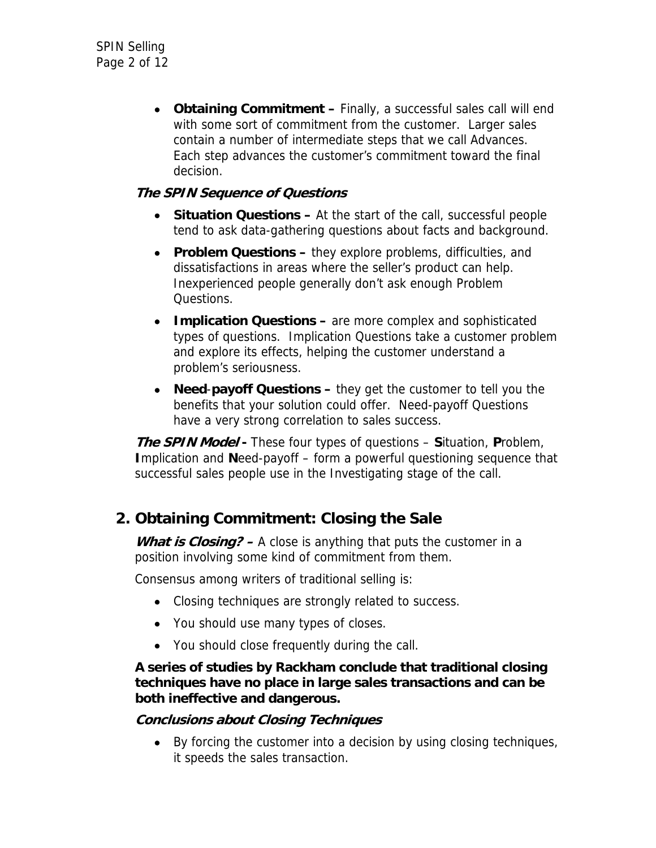• **Obtaining Commitment –** Finally, a successful sales call will end with some sort of commitment from the customer. Larger sales contain a number of intermediate steps that we call Advances. Each step advances the customer's commitment toward the final decision.

### **The SPIN Sequence of Questions**

- **Situation Questions At the start of the call, successful people** tend to ask data-gathering questions about facts and background.
- **Problem Questions –** they explore problems, difficulties, and dissatisfactions in areas where the seller's product can help. Inexperienced people generally don't ask enough Problem Questions.
- **Implication Questions –** are more complex and sophisticated types of questions. Implication Questions take a customer problem and explore its effects, helping the customer understand a problem's seriousness.
- **Need**-**payoff Questions** they get the customer to tell you the benefits that your solution could offer. Need-payoff Questions have a very strong correlation to sales success.

**The SPIN Model -** These four types of questions – **S**ituation, **P**roblem, **I**mplication and **N**eed-payoff – form a powerful questioning sequence that successful sales people use in the Investigating stage of the call.

## **2. Obtaining Commitment: Closing the Sale**

What is *Closing?* – A close is anything that puts the customer in a position involving some kind of commitment from them.

Consensus among writers of traditional selling is:

- Closing techniques are strongly related to success.
- You should use many types of closes.
- You should close frequently during the call.

#### **A series of studies by Rackham conclude that traditional closing techniques have no place in large sales transactions and can be both ineffective and dangerous.**

#### **Conclusions about Closing Techniques**

• By forcing the customer into a decision by using closing techniques, it speeds the sales transaction.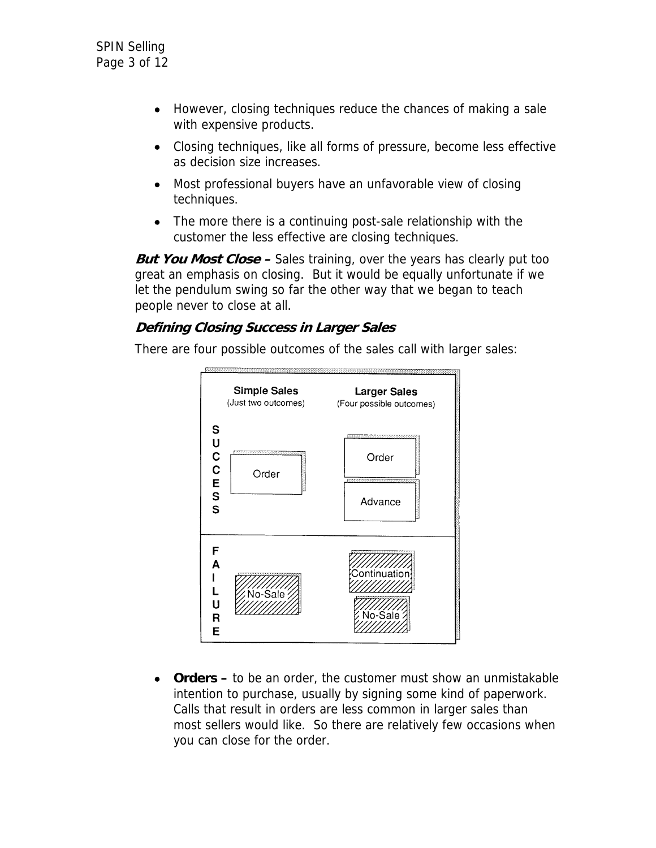- However, closing techniques reduce the chances of making a sale with expensive products.
- Closing techniques, like all forms of pressure, become less effective as decision size increases.
- Most professional buyers have an unfavorable view of closing techniques.
- The more there is a continuing post-sale relationship with the customer the less effective are closing techniques.

**But You Most Close –** Sales training, over the years has clearly put too great an emphasis on closing. But it would be equally unfortunate if we let the pendulum swing so far the other way that we began to teach people never to close at all.

### **Defining Closing Success in Larger Sales**

There are four possible outcomes of the sales call with larger sales:



• **Orders –** to be an order, the customer must show an unmistakable intention to purchase, usually by signing some kind of paperwork. Calls that result in orders are less common in larger sales than most sellers would like. So there are relatively few occasions when you can close for the order.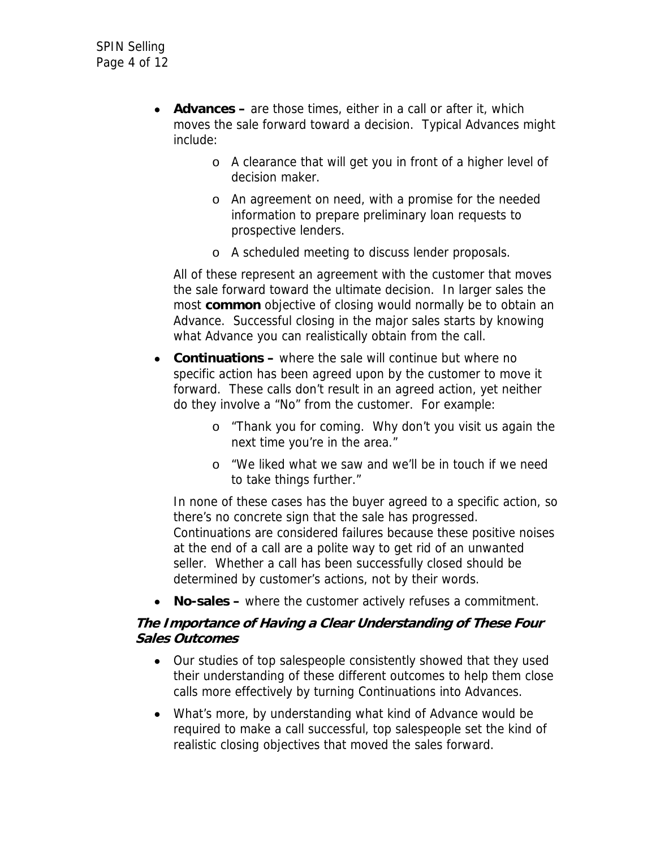- **Advances –** are those times, either in a call or after it, which moves the sale forward toward a decision. Typical Advances might include:
	- o A clearance that will get you in front of a higher level of decision maker.
	- o An agreement on need, with a promise for the needed information to prepare preliminary loan requests to prospective lenders.
	- o A scheduled meeting to discuss lender proposals.

All of these represent an agreement with the customer that moves the sale forward toward the ultimate decision. In larger sales the most **common** objective of closing would normally be to obtain an Advance. Successful closing in the major sales starts by knowing what Advance you can realistically obtain from the call.

- **Continuations** where the sale will continue but where no specific action has been agreed upon by the customer to move it forward. These calls don't result in an agreed action, yet neither do they involve a "No" from the customer. For example:
	- o "Thank you for coming. Why don't you visit us again the next time you're in the area."
	- o "We liked what we saw and we'll be in touch if we need to take things further."

In none of these cases has the buyer agreed to a specific action, so there's no concrete sign that the sale has progressed. Continuations are considered failures because these positive noises at the end of a call are a polite way to get rid of an unwanted seller. Whether a call has been successfully closed should be determined by customer's actions, not by their words.

• **No-sales –** where the customer actively refuses a commitment.

### **The Importance of Having a Clear Understanding of These Four Sales Outcomes**

- Our studies of top salespeople consistently showed that they used their understanding of these different outcomes to help them close calls more effectively by turning Continuations into Advances.
- What's more, by understanding what kind of Advance would be required to make a call successful, top salespeople set the kind of realistic closing objectives that moved the sales forward.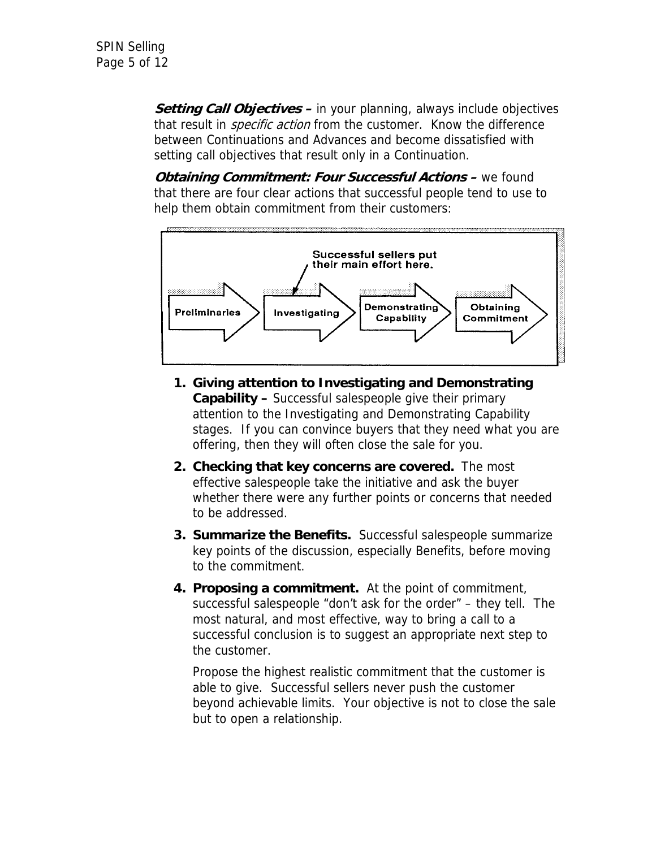**Setting Call Objectives –** in your planning, always include objectives that result in *specific action* from the customer. Know the difference between Continuations and Advances and become dissatisfied with setting call objectives that result only in a Continuation.

*Obtaining Commitment: Four Successful Actions –* **we found** that there are four clear actions that successful people tend to use to help them obtain commitment from their customers:



- **1. Giving attention to Investigating and Demonstrating Capability –** Successful salespeople give their primary attention to the Investigating and Demonstrating Capability stages. If you can convince buyers that they need what you are offering, then they will often close the sale for you.
- **2. Checking that key concerns are covered.** The most effective salespeople take the initiative and ask the buyer whether there were any further points or concerns that needed to be addressed.
- **3. Summarize the Benefits.** Successful salespeople summarize key points of the discussion, especially Benefits, before moving to the commitment.
- **4. Proposing a commitment.** At the point of commitment, successful salespeople "don't ask for the order" – they tell. The most natural, and most effective, way to bring a call to a successful conclusion is to suggest an appropriate next step to the customer.

Propose the highest realistic commitment that the customer is able to give. Successful sellers never push the customer beyond achievable limits. Your objective is not to close the sale but to open a relationship.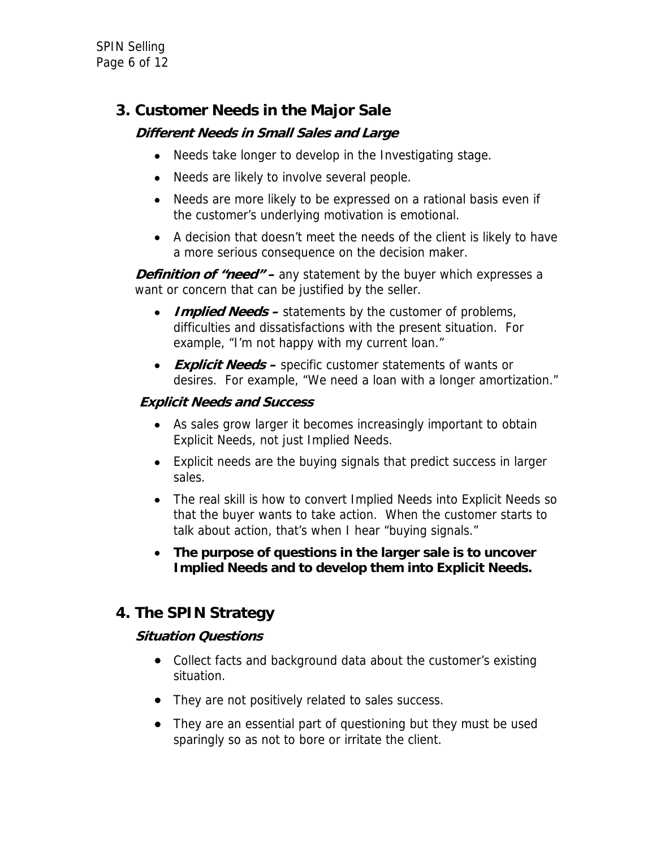SPIN Selling Page 6 of 12

## **3. Customer Needs in the Major Sale**

## **Different Needs in Small Sales and Large**

- Needs take longer to develop in the Investigating stage.
- Needs are likely to involve several people.
- Needs are more likely to be expressed on a rational basis even if the customer's underlying motivation is emotional.
- A decision that doesn't meet the needs of the client is likely to have a more serious consequence on the decision maker.

**Definition of "need" –** any statement by the buyer which expresses a want or concern that can be justified by the seller.

- **Implied Needs** statements by the customer of problems, difficulties and dissatisfactions with the present situation. For example, "I'm not happy with my current loan."
- **Explicit Needs –** specific customer statements of wants or desires. For example, "We need a loan with a longer amortization."

### **Explicit Needs and Success**

- As sales grow larger it becomes increasingly important to obtain Explicit Needs, not just Implied Needs.
- Explicit needs are the buying signals that predict success in larger sales.
- The real skill is how to convert Implied Needs into Explicit Needs so that the buyer wants to take action. When the customer starts to talk about action, that's when I hear "buying signals."
- **The purpose of questions in the larger sale is to uncover Implied Needs and to develop them into Explicit Needs.**

## **4. The SPIN Strategy**

### **Situation Questions**

- Collect facts and background data about the customer's existing situation.
- They are not positively related to sales success.
- They are an essential part of questioning but they must be used sparingly so as not to bore or irritate the client.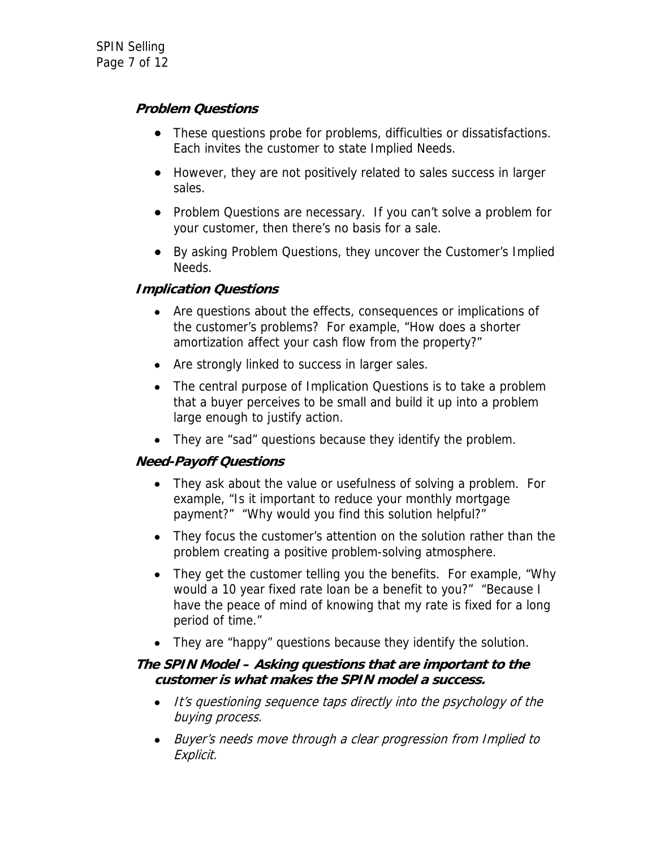## **Problem Questions**

- These questions probe for problems, difficulties or dissatisfactions. Each invites the customer to state Implied Needs.
- However, they are not positively related to sales success in larger sales.
- Problem Questions are necessary. If you can't solve a problem for your customer, then there's no basis for a sale.
- By asking Problem Questions, they uncover the Customer's Implied Needs.

### **Implication Questions**

- Are questions about the effects, consequences or implications of the customer's problems? For example, "How does a shorter amortization affect your cash flow from the property?"
- Are strongly linked to success in larger sales.
- The central purpose of Implication Questions is to take a problem that a buyer perceives to be small and build it up into a problem large enough to justify action.
- They are "sad" questions because they identify the problem.

### **Need-Payoff Questions**

- They ask about the value or usefulness of solving a problem. For example, "Is it important to reduce your monthly mortgage payment?" "Why would you find this solution helpful?"
- They focus the customer's attention on the solution rather than the problem creating a positive problem-solving atmosphere.
- They get the customer telling you the benefits. For example, "Why would a 10 year fixed rate loan be a benefit to you?" "Because I have the peace of mind of knowing that my rate is fixed for a long period of time."
- They are "happy" questions because they identify the solution.

#### **The SPIN Model – Asking questions that are important to the customer is what makes the SPIN model a success.**

- It's questioning sequence taps directly into the psychology of the buying process.
- Buyer's needs move through a clear progression from Implied to Explicit.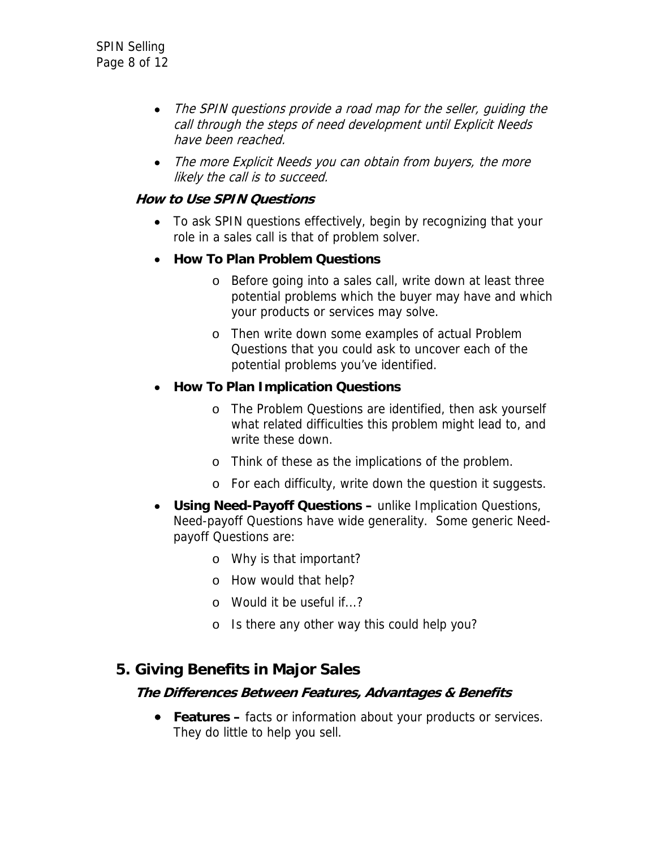- The SPIN questions provide a road map for the seller, quiding the call through the steps of need development until Explicit Needs have been reached.
- The more Explicit Needs you can obtain from buyers, the more likely the call is to succeed.

### **How to Use SPIN Questions**

- To ask SPIN questions effectively, begin by recognizing that your role in a sales call is that of problem solver.
- **How To Plan Problem Questions** 
	- o Before going into a sales call, write down at least three potential problems which the buyer may have and which your products or services may solve.
	- o Then write down some examples of actual Problem Questions that you could ask to uncover each of the potential problems you've identified.

### • **How To Plan Implication Questions**

- o The Problem Questions are identified, then ask yourself what related difficulties this problem might lead to, and write these down.
- o Think of these as the implications of the problem.
- o For each difficulty, write down the question it suggests.
- **Using Need-Payoff Questions** unlike Implication Questions, Need-payoff Questions have wide generality. Some generic Needpayoff Questions are:
	- o Why is that important?
	- o How would that help?
	- o Would it be useful if...?
	- o Is there any other way this could help you?

## **5. Giving Benefits in Major Sales**

#### **The Differences Between Features, Advantages & Benefits**

• **Features –** facts or information about your products or services. They do little to help you sell.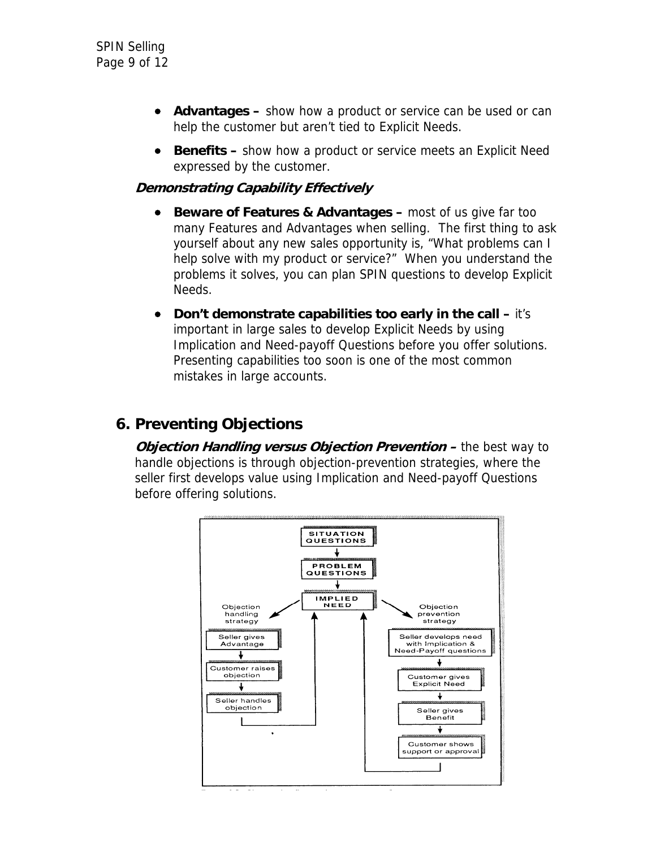- **Advantages –** show how a product or service can be used or can help the customer but aren't tied to Explicit Needs.
- **Benefits –** show how a product or service meets an Explicit Need expressed by the customer.

### **Demonstrating Capability Effectively**

- **Beware of Features & Advantages most of us give far too** many Features and Advantages when selling. The first thing to ask yourself about any new sales opportunity is, "What problems can I help solve with my product or service?" When you understand the problems it solves, you can plan SPIN questions to develop Explicit Needs.
- **Don't demonstrate capabilities too early in the call** it's important in large sales to develop Explicit Needs by using Implication and Need-payoff Questions before you offer solutions. Presenting capabilities too soon is one of the most common mistakes in large accounts.

## **6. Preventing Objections**

*Objection Handling versus Objection Prevention –* **the best way to** handle objections is through objection-prevention strategies, where the seller first develops value using Implication and Need-payoff Questions before offering solutions.

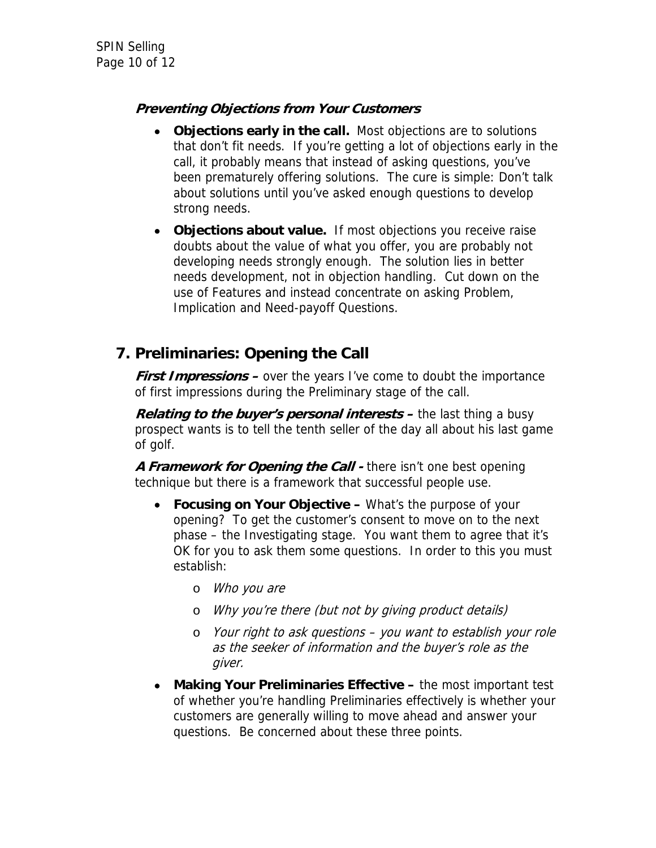## **Preventing Objections from Your Customers**

- **Objections early in the call.** Most objections are to solutions that don't fit needs. If you're getting a lot of objections early in the call, it probably means that instead of asking questions, you've been prematurely offering solutions. The cure is simple: Don't talk about solutions until you've asked enough questions to develop strong needs.
- **Objections about value.** If most objections you receive raise doubts about the value of what you offer, you are probably not developing needs strongly enough. The solution lies in better needs development, not in objection handling. Cut down on the use of Features and instead concentrate on asking Problem, Implication and Need-payoff Questions.

## **7. Preliminaries: Opening the Call**

**First Impressions –** over the years I've come to doubt the importance of first impressions during the Preliminary stage of the call.

*Relating to the buyer's personal interests –* **the last thing a busy** prospect wants is to tell the tenth seller of the day all about his last game of golf.

**A Framework for Opening the Call -** there isn't one best opening technique but there is a framework that successful people use.

- **Focusing on Your Objective** What's the purpose of your opening? To get the customer's consent to move on to the next phase – the Investigating stage. You want them to agree that it's OK for you to ask them some questions. In order to this you must establish:
	- o Who you are
	- o Why you're there (but not by giving product details)
	- o Your right to ask questions you want to establish your role as the seeker of information and the buyer's role as the giver.
- **Making Your Preliminaries Effective** the most important test of whether you're handling Preliminaries effectively is whether your customers are generally willing to move ahead and answer your questions. Be concerned about these three points.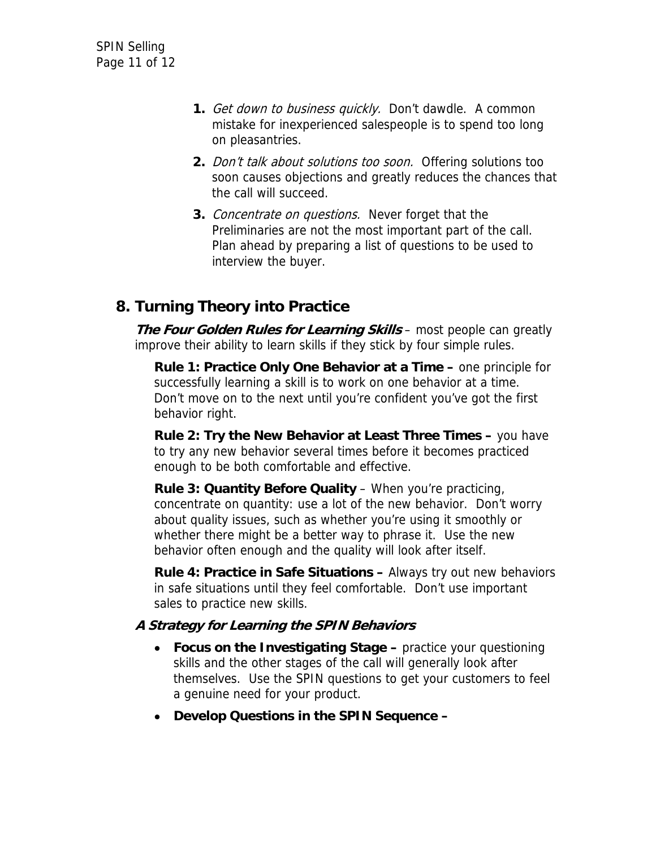- **1.** Get down to business quickly. Don't dawdle. A common mistake for inexperienced salespeople is to spend too long on pleasantries.
- **2.** Don't talk about solutions too soon. Offering solutions too soon causes objections and greatly reduces the chances that the call will succeed.
- **3.** Concentrate on questions. Never forget that the Preliminaries are not the most important part of the call. Plan ahead by preparing a list of questions to be used to interview the buyer.

## **8. Turning Theory into Practice**

**The Four Golden Rules for Learning Skills** – most people can greatly improve their ability to learn skills if they stick by four simple rules.

**Rule 1: Practice Only One Behavior at a Time –** one principle for successfully learning a skill is to work on one behavior at a time. Don't move on to the next until you're confident you've got the first behavior right.

**Rule 2: Try the New Behavior at Least Three Times –** you have to try any new behavior several times before it becomes practiced enough to be both comfortable and effective.

**Rule 3: Quantity Before Quality - When you're practicing,** concentrate on quantity: use a lot of the new behavior. Don't worry about quality issues, such as whether you're using it smoothly or whether there might be a better way to phrase it. Use the new behavior often enough and the quality will look after itself.

**Rule 4: Practice in Safe Situations –** Always try out new behaviors in safe situations until they feel comfortable. Don't use important sales to practice new skills.

### **A Strategy for Learning the SPIN Behaviors**

- **Focus on the Investigating Stage** practice your questioning skills and the other stages of the call will generally look after themselves. Use the SPIN questions to get your customers to feel a genuine need for your product.
- **Develop Questions in the SPIN Sequence –**